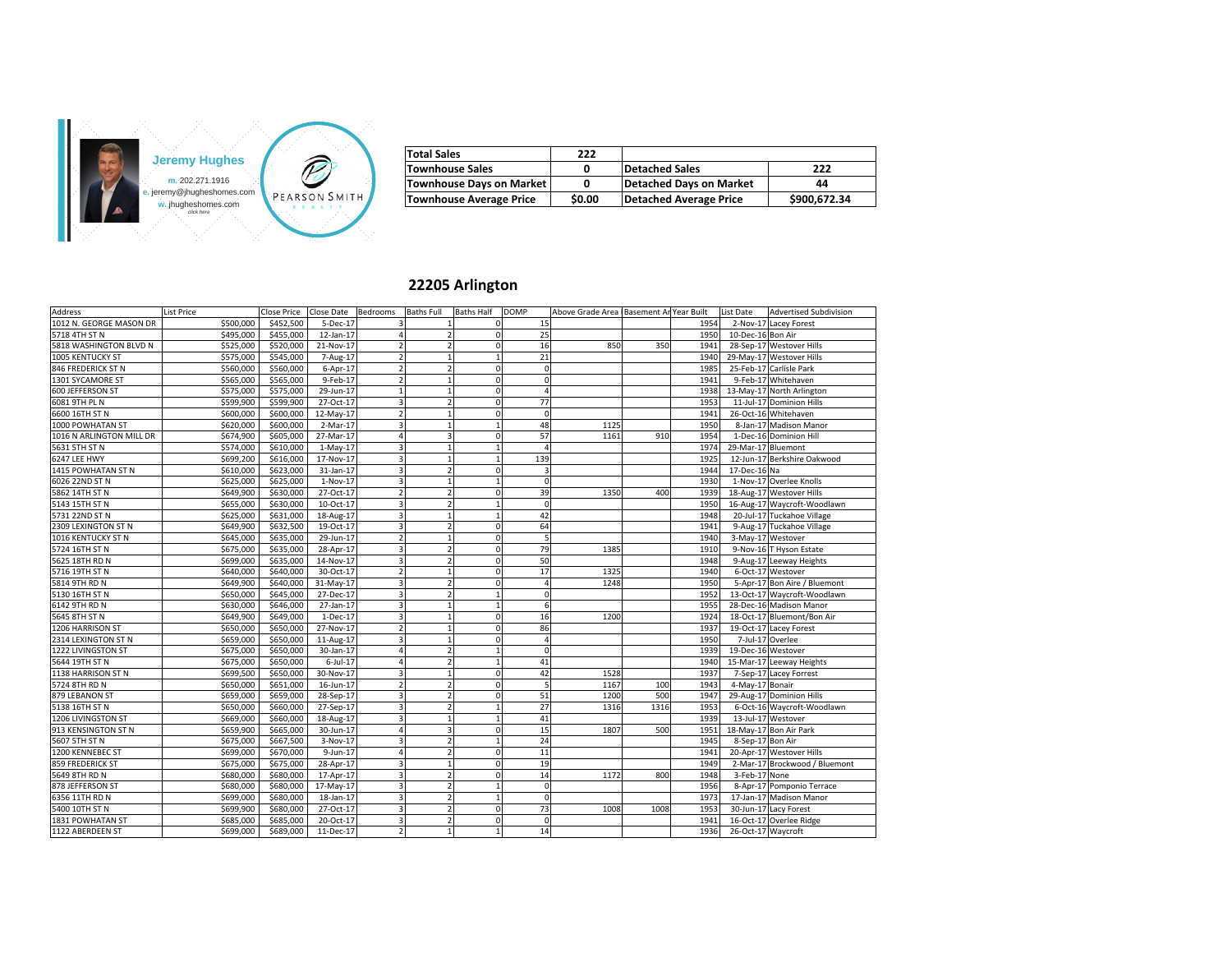

| <b>Total Sales</b>       | 222    |                         |              |
|--------------------------|--------|-------------------------|--------------|
| <b>Townhouse Sales</b>   |        | Detached Sales          | 222          |
| Townhouse Days on Market |        | Detached Days on Market | 44           |
| Townhouse Average Price  | \$0.00 | Detached Average Price  | \$900.672.34 |

## **22205 Arlington**

| <b>Address</b>           | List Price | Close Price | Close Date Bedrooms |                         | <b>Baths Full</b> | <b>Baths Half</b> | <b>DOMP</b>     | Above Grade Area Basement Ar Year Built |      |      | <b>List Date</b>   | Advertised Subdivision        |
|--------------------------|------------|-------------|---------------------|-------------------------|-------------------|-------------------|-----------------|-----------------------------------------|------|------|--------------------|-------------------------------|
| 1012 N. GEORGE MASON DR  | \$500,000  | \$452,500   | 5-Dec-17            |                         |                   | $\Omega$          | 15              |                                         |      | 1954 |                    | 2-Nov-17 Lacey Forest         |
| 5718 4TH ST N            | \$495,000  | \$455,000   | $12$ -Jan- $17$     |                         | $\overline{2}$    | $\Omega$          | $\overline{25}$ |                                         |      | 1950 | 10-Dec-16 Bon Air  |                               |
| 5818 WASHINGTON BLVD N   | \$525,000  | \$520,000   | 21-Nov-17           | $\mathcal{P}$           | $\overline{2}$    | $\Omega$          | 16              | 850                                     | 350  | 1941 |                    | 28-Sep-17 Westover Hills      |
| 1005 KENTUCKY ST         | \$575,000  | \$545,000   | 7-Aug-17            | 2                       | $\mathbf{1}$      | $\overline{1}$    | 21              |                                         |      | 1940 |                    | 29-May-17 Westover Hills      |
| 846 FREDERICK ST N       | \$560,000  | \$560,000   | 6-Apr-17            | $\mathcal{P}$           | $\overline{2}$    | $\mathbf 0$       | $\mathbf 0$     |                                         |      | 1985 |                    | 25-Feb-17 Carlisle Park       |
| 1301 SYCAMORE ST         | \$565,000  | \$565,000   | 9-Feb-17            | $\mathcal{P}$           | $\mathbf{1}$      | 0                 | $\overline{0}$  |                                         |      | 1941 |                    | 9-Feb-17 Whitehaven           |
| 600 JEFFERSON ST         | \$575,000  | \$575,000   | 29-Jun-17           |                         | $\mathbf{1}$      | $\Omega$          | $\Delta$        |                                         |      | 1938 |                    | 13-May-17 North Arlington     |
| 6081 9TH PL N            | \$599,900  | \$599,900   | 27-Oct-17           | 3                       | $\overline{2}$    | $\Omega$          | 77              |                                         |      | 1953 |                    | 11-Jul-17 Dominion Hills      |
| 6600 16TH ST N           | \$600,000  | \$600,000   | 12-May-17           | 2                       | $\mathbf{1}$      | $\overline{0}$    | $\overline{0}$  |                                         |      | 1941 |                    | 26-Oct-16 Whitehaven          |
| 1000 POWHATAN ST         | \$620,000  | \$600,000   | 2-Mar-17            |                         | $\mathbf{1}$      | $\overline{1}$    | 48              | 1125                                    |      | 1950 |                    | 8-Jan-17 Madison Manor        |
| 1016 N ARLINGTON MILL DR | \$674,900  | \$605,000   | 27-Mar-17           | Δ                       | $\overline{3}$    | $\mathbf 0$       | 57              | 1161                                    | 910  | 1954 |                    | 1-Dec-16 Dominion Hill        |
| 5631 5TH ST N            | \$574,000  | \$610,000   | $1-May-17$          |                         | $\mathbf{1}$      | $\overline{1}$    | $\overline{4}$  |                                         |      | 1974 | 29-Mar-17 Bluemont |                               |
| 6247 LEE HWY             | \$699,200  | \$616,000   | 17-Nov-17           | $\overline{\mathbf{a}}$ | $\mathbf{1}$      | $\overline{1}$    | 139             |                                         |      | 1925 |                    | 12-Jun-17 Berkshire Oakwood   |
| 1415 POWHATAN ST N       | \$610,000  | \$623,000   | 31-Jan-17           | $\overline{\mathbf{a}}$ | $\overline{2}$    | $\overline{0}$    | $\overline{3}$  |                                         |      | 1944 | 17-Dec-16 Na       |                               |
| 6026 22ND ST N           | \$625,000  | \$625,000   | 1-Nov-17            | R                       | $\mathbf{1}$      | $\overline{1}$    | $\overline{0}$  |                                         |      | 1930 |                    | 1-Nov-17 Overlee Knolls       |
| 5862 14TH ST N           | \$649,900  | \$630,000   | 27-Oct-17           | $\mathcal{P}$           | $\overline{2}$    | $\Omega$          | 39              | 1350                                    | 400  | 1939 |                    | 18-Aug-17 Westover Hills      |
| 5143 15TH ST N           | \$655,000  | \$630,000   | 10-Oct-17           |                         | $\overline{2}$    | $\overline{1}$    | $\Omega$        |                                         |      | 1950 |                    | 16-Aug-17 Waycroft-Woodlawn   |
| 5731 22ND ST N           | \$625,000  | \$631,000   | 18-Aug-17           | 3                       | $\mathbf{1}$      | $\overline{1}$    | 42              |                                         |      | 1948 |                    | 20-Jul-17 Tuckahoe Village    |
| 2309 LEXINGTON ST N      | \$649,900  | \$632,500   | 19-Oct-17           |                         | $\overline{2}$    | $\overline{0}$    | 64              |                                         |      | 1941 |                    | 9-Aug-17 Tuckahoe Village     |
| 1016 KENTUCKY ST N       | \$645,000  | \$635,000   | 29-Jun-17           |                         | $\mathbf{1}$      | $\Omega$          | 5               |                                         |      | 1940 |                    | 3-May-17 Westover             |
| 5724 16TH ST N           | \$675,000  | \$635,000   | 28-Apr-17           | 3                       | $\overline{2}$    | $\Omega$          | 79              | 1385                                    |      | 1910 |                    | 9-Nov-16 T Hyson Estate       |
| 5625 18TH RD N           | \$699,000  | \$635,000   | 14-Nov-17           |                         | $\overline{2}$    | $\Omega$          | 50              |                                         |      | 1948 |                    | 9-Aug-17 Leeway Heights       |
| 5716 19TH ST N           | \$640,000  | \$640,000   | 30-Oct-17           | $\overline{2}$          | $\mathbf{1}$      | $\Omega$          | 17              | 1325                                    |      | 1940 |                    | 6-Oct-17 Westover             |
| 5814 9TH RD N            | \$649,900  | \$640,000   | 31-May-17           | $\overline{\mathbf{a}}$ | $\overline{2}$    | $\Omega$          | $\overline{4}$  | 1248                                    |      | 1950 |                    | 5-Apr-17 Bon Aire / Bluemont  |
| 5130 16TH ST N           | \$650,000  | \$645,000   | 27-Dec-17           | $\overline{\mathbf{a}}$ | $\overline{2}$    | $\overline{1}$    | $\Omega$        |                                         |      | 1952 |                    | 13-Oct-17 Waycroft-Woodlawn   |
| 6142 9TH RD N            | \$630,000  | \$646,000   | 27-Jan-17           | 3                       | $\mathbf{1}$      | $\overline{1}$    | $\overline{6}$  |                                         |      | 1955 |                    | 28-Dec-16 Madison Manor       |
| 5645 8TH ST N            | \$649,900  | \$649,000   | $1-Dec-17$          |                         | $\mathbf{1}$      | $\Omega$          | 16              | 1200                                    |      | 1924 |                    | 18-Oct-17 Bluemont/Bon Air    |
| 1206 HARRISON ST         | \$650,000  | \$650,000   | 27-Nov-17           |                         | $\mathbf{1}$      | $\Omega$          | 86              |                                         |      | 1937 |                    | 19-Oct-17 Lacey Forest        |
| 2314 LEXINGTON ST N      | \$659,000  | \$650,000   | 11-Aug-17           | R                       | $\mathbf{1}$      | $\Omega$          | $\overline{4}$  |                                         |      | 1950 |                    | 7-Jul-17 Overlee              |
| 1222 LIVINGSTON ST       | \$675,000  | \$650,000   | 30-Jan-17           |                         | $\overline{2}$    | $\overline{1}$    | $\mathbf 0$     |                                         |      | 1939 | 19-Dec-16 Westover |                               |
| 5644 19TH ST N           | \$675,000  | \$650,000   | $6$ -Jul-17         | Λ                       | $\overline{2}$    | $\overline{1}$    | 41              |                                         |      | 1940 |                    | 15-Mar-17 Leeway Heights      |
| 1138 HARRISON ST N       | \$699,500  | \$650,000   | 30-Nov-17           | $\overline{\mathbf{a}}$ | $\mathbf{1}$      | $\mathbf 0$       | 42              | 1528                                    |      | 1937 |                    | 7-Sep-17 Lacey Forrest        |
| 5724 8TH RD N            | \$650,000  | \$651,000   | 16-Jun-17           |                         | $\overline{2}$    | $\Omega$          | 5               | 1167                                    | 100  | 1943 | 4-May-17 Bonair    |                               |
| 879 LEBANON ST           | \$659,000  | \$659,000   | 28-Sep-17           | 3                       | $\overline{2}$    | $\Omega$          | 51              | 1200                                    | 500  | 1947 |                    | 29-Aug-17 Dominion Hills      |
| 5138 16TH ST N           | \$650,000  | \$660,000   | 27-Sep-17           | $\overline{\mathbf{a}}$ | $\overline{2}$    | $\overline{1}$    | $\overline{27}$ | 1316                                    | 1316 | 1953 |                    | 6-Oct-16 Waycroft-Woodlawn    |
| 1206 LIVINGSTON ST       | \$669,000  | \$660,000   | 18-Aug-17           | 3                       | $\mathbf{1}$      | $\mathbf{1}$      | 41              |                                         |      | 1939 |                    | 13-Jul-17 Westover            |
| 913 KENSINGTON ST N      | \$659,900  | \$665,000   | 30-Jun-17           |                         | $\overline{3}$    | $\Omega$          | 15              | 1807                                    | 500  | 1951 |                    | 18-May-17 Bon Air Park        |
| 5607 5TH ST N            | \$675,000  | \$667,500   | 3-Nov-17            |                         | $\overline{2}$    | $\overline{1}$    | 24              |                                         |      | 1945 | 8-Sep-17 Bon Air   |                               |
| 1200 KENNEBEC ST         | \$699,000  | \$670,000   | 9-Jun-17            | 4                       | $\overline{2}$    | $\Omega$          | 11              |                                         |      | 1941 |                    | 20-Apr-17 Westover Hills      |
| 859 FREDERICK ST         | \$675,000  | \$675,000   | 28-Apr-17           |                         | $\mathbf{1}$      | $\Omega$          | 19              |                                         |      | 1949 |                    | 2-Mar-17 Brockwood / Bluemont |
| 5649 8TH RD N            | \$680,000  | \$680,000   | 17-Apr-17           | 3                       | $\overline{2}$    | $\mathbf 0$       | 14              | 1172                                    | 800  | 1948 | 3-Feb-17 None      |                               |
| 878 JEFFERSON ST         | \$680,000  | \$680,000   | 17-May-17           | $\overline{\mathbf{a}}$ | $\overline{2}$    | $\overline{1}$    | $\mathbf 0$     |                                         |      | 1956 |                    | 8-Apr-17 Pomponio Terrace     |
| 6356 11TH RD N           | \$699,000  | \$680,000   | 18-Jan-17           | R                       | $\overline{2}$    | $\mathbf{1}$      | $\overline{0}$  |                                         |      | 1973 |                    | 17-Jan-17 Madison Manor       |
| 5400 10TH ST N           | \$699,900  | \$680,000   | 27-Oct-17           | $\overline{\mathbf{a}}$ | $\overline{2}$    | $\Omega$          | 73              | 1008                                    | 1008 | 1953 |                    | 30-Jun-17 Lacy Forest         |
| 1831 POWHATAN ST         | \$685,000  | \$685,000   | 20-Oct-17           | $\overline{\mathbf{a}}$ | $\overline{2}$    | $\Omega$          | $\overline{0}$  |                                         |      | 1941 |                    | 16-Oct-17 Overlee Ridge       |
| 1122 ABERDEEN ST         | \$699,000  | \$689,000   | $11-Dec-17$         | 2 <sup>1</sup>          | $\mathbf{1}$      | $\overline{1}$    | 14              |                                         |      | 1936 | 26-Oct-17 Waycroft |                               |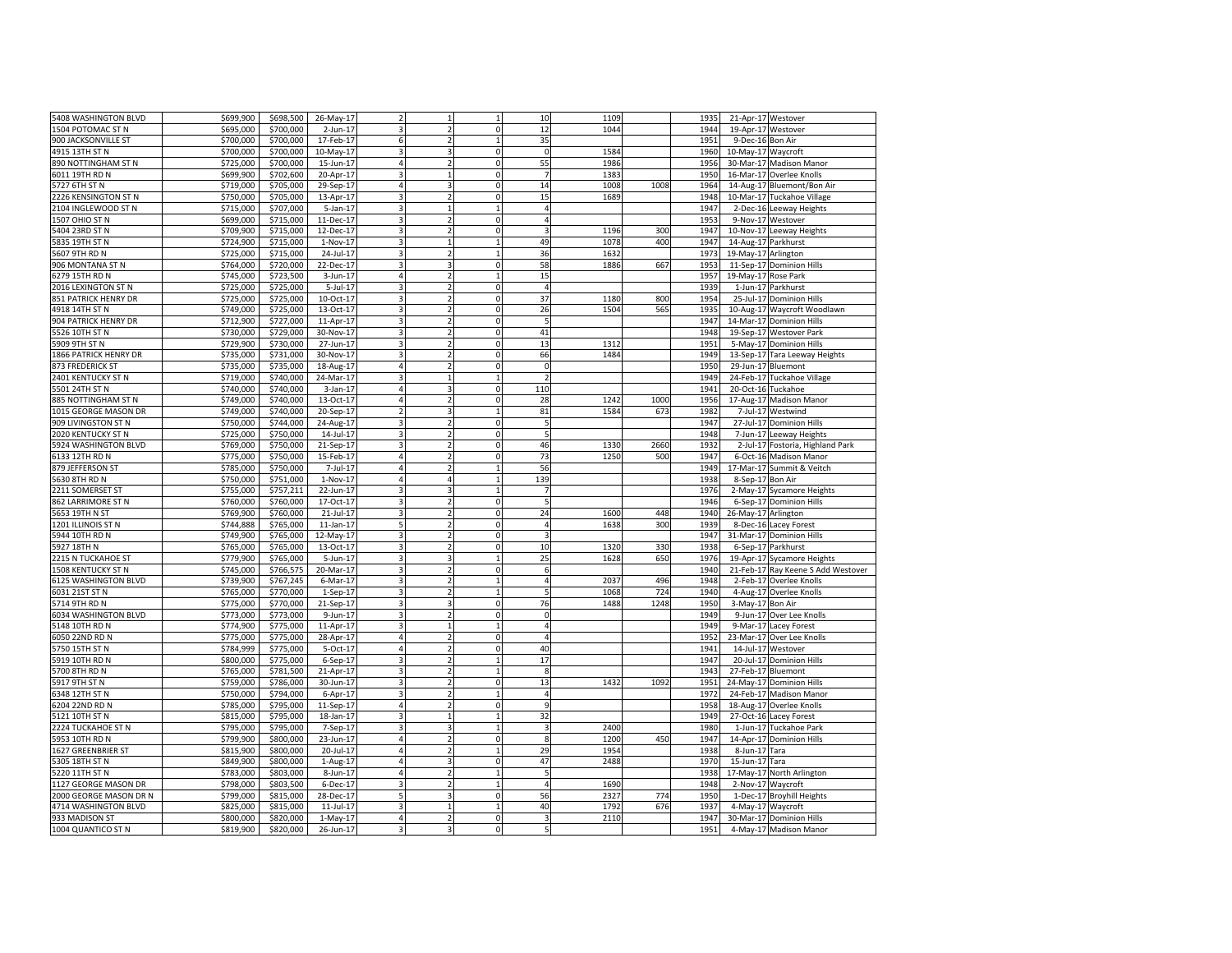| $\overline{2}$<br>12<br>1504 POTOMAC ST N<br>\$695,000<br>\$700,000<br>$2$ -Jun-17<br>$\overline{3}$<br>$\overline{0}$<br>1044<br>1944<br>19-Apr-17 Westover<br>900 JACKSONVILLE ST<br>\$700,000<br>\$700,000<br>$17-Feb-17$<br>35<br>1951<br>9-Dec-16 Bon Air<br>$\overline{2}$<br>$\mathbf{1}$<br>6<br>4915 13TH ST N<br>\$700,000<br>\$700,000<br>10-May-17<br>3<br>$\overline{0}$<br><sup>0</sup><br>1584<br>1960<br>10-May-17 Waycroft<br>3<br>55<br>890 NOTTINGHAM ST N<br>\$700,000<br>15-Jun-17<br>$\overline{2}$<br>0<br>\$725,000<br>$\overline{a}$<br>1986<br>1956<br>30-Mar-17 Madison Manor<br>1383<br>6011 19TH RD N<br>\$699,900<br>\$702,600<br>20-Apr-17<br>3<br>$\mathbf{1}$<br>$\overline{0}$<br>1950<br>16-Mar-17 Overlee Knolls<br>$\overline{7}$ | 21-Apr-17 Westover                 |
|------------------------------------------------------------------------------------------------------------------------------------------------------------------------------------------------------------------------------------------------------------------------------------------------------------------------------------------------------------------------------------------------------------------------------------------------------------------------------------------------------------------------------------------------------------------------------------------------------------------------------------------------------------------------------------------------------------------------------------------------------------------------|------------------------------------|
|                                                                                                                                                                                                                                                                                                                                                                                                                                                                                                                                                                                                                                                                                                                                                                        |                                    |
|                                                                                                                                                                                                                                                                                                                                                                                                                                                                                                                                                                                                                                                                                                                                                                        |                                    |
|                                                                                                                                                                                                                                                                                                                                                                                                                                                                                                                                                                                                                                                                                                                                                                        |                                    |
|                                                                                                                                                                                                                                                                                                                                                                                                                                                                                                                                                                                                                                                                                                                                                                        |                                    |
|                                                                                                                                                                                                                                                                                                                                                                                                                                                                                                                                                                                                                                                                                                                                                                        |                                    |
| 5727 6TH ST N<br>\$719,000<br>\$705,000<br>29-Sep-17<br>3<br>$\overline{0}$<br>14<br>1008<br>1008<br>1964<br>14-Aug-17 Bluemont/Bon Air<br>$\overline{a}$                                                                                                                                                                                                                                                                                                                                                                                                                                                                                                                                                                                                              |                                    |
| $\overline{3}$<br>$\overline{2}$<br>$\overline{0}$<br>15<br>2226 KENSINGTON ST N<br>\$750,000<br>\$705,000<br>13-Apr-17<br>1689<br>1948<br>10-Mar-17 Tuckahoe Village                                                                                                                                                                                                                                                                                                                                                                                                                                                                                                                                                                                                  |                                    |
| \$715,000<br>\$707,000<br>1947<br>2104 INGLEWOOD ST N<br>5-Jan-17<br>3<br>$\mathbf 1$<br>$\mathbf{1}$<br>$\overline{4}$<br>2-Dec-16 Leeway Heights                                                                                                                                                                                                                                                                                                                                                                                                                                                                                                                                                                                                                     |                                    |
| \$699,000<br>$\overline{2}$<br>$\mathbf{0}$<br>$\overline{4}$<br>1507 OHIO ST N<br>\$715,000<br>11-Dec-17<br>$\overline{\mathbf{a}}$<br>1953<br>9-Nov-17 Westover                                                                                                                                                                                                                                                                                                                                                                                                                                                                                                                                                                                                      |                                    |
| \$709,900<br>$\overline{2}$<br>$\overline{0}$<br>$\overline{3}$<br>1196<br>300<br>10-Nov-17 Leeway Heights<br>5404 23RD ST N<br>\$715,000<br>12-Dec-17<br>3<br>1947                                                                                                                                                                                                                                                                                                                                                                                                                                                                                                                                                                                                    |                                    |
| 49<br>1078<br>400<br>1947<br>5835 19TH ST N<br>\$724,900<br>\$715,000<br>1-Nov-17<br>3<br>$\mathbf 1$<br>$\mathbf 1$<br>14-Aug-17 Parkhurst                                                                                                                                                                                                                                                                                                                                                                                                                                                                                                                                                                                                                            |                                    |
| \$725,000<br>\$715,000<br>5607 9TH RD N<br>24-Jul-17<br>$\overline{\mathbf{a}}$<br>$\overline{2}$<br>$\mathbf{1}$<br>36<br>1632<br>1973<br>19-May-17 Arlington                                                                                                                                                                                                                                                                                                                                                                                                                                                                                                                                                                                                         |                                    |
| 58<br>3<br>$\overline{0}$<br>667<br>906 MONTANA ST N<br>\$764,000<br>\$720,000<br>22-Dec-17<br>3<br>1886<br>1953<br>11-Sep-17 Dominion Hills                                                                                                                                                                                                                                                                                                                                                                                                                                                                                                                                                                                                                           |                                    |
| \$745,000<br>\$723,500<br>15<br>1957<br>6279 15TH RD N<br>3-Jun-17<br>$\overline{4}$<br>$\overline{2}$<br>$\mathbf 1$<br>19-May-17 Rose Park                                                                                                                                                                                                                                                                                                                                                                                                                                                                                                                                                                                                                           |                                    |
| \$725,000<br>\$725,000<br>$\overline{2}$<br>$\Omega$<br>2016 LEXINGTON ST N<br>$5$ -Jul-17<br>$\overline{\mathbf{a}}$<br>$\overline{4}$<br>1939<br>1-Jun-17 Parkhurst                                                                                                                                                                                                                                                                                                                                                                                                                                                                                                                                                                                                  |                                    |
| 37<br>\$725,000<br>\$725,000<br>10-Oct-17<br>$\overline{3}$<br>$\overline{2}$<br>$\overline{0}$<br>1180<br>800<br>25-Jul-17 Dominion Hills<br>851 PATRICK HENRY DR<br>1954                                                                                                                                                                                                                                                                                                                                                                                                                                                                                                                                                                                             |                                    |
| 4918 14TH ST N<br>\$749,000<br>\$725,000<br>$\overline{2}$<br>$\overline{0}$<br>26<br>1504<br>565<br>13-Oct-17<br>3<br>1935<br>10-Aug-17 Waycroft Woodlawn                                                                                                                                                                                                                                                                                                                                                                                                                                                                                                                                                                                                             |                                    |
| 904 PATRICK HENRY DR<br>\$712,900<br>\$727,000<br>14-Mar-17 Dominion Hills<br>11-Apr-17<br>$\overline{\mathbf{a}}$<br>$\overline{2}$<br>$\overline{0}$<br>5<br>1947                                                                                                                                                                                                                                                                                                                                                                                                                                                                                                                                                                                                    |                                    |
| $\overline{0}$<br>41<br>19-Sep-17 Westover Park<br>5526 10TH ST N<br>\$730,000<br>\$729,000<br>30-Nov-17<br>3<br>$\overline{2}$<br>1948                                                                                                                                                                                                                                                                                                                                                                                                                                                                                                                                                                                                                                |                                    |
| \$729,900<br>\$730,000<br>27-Jun-17<br>$\mathbf{0}$<br>13<br>5-May-17 Dominion Hills<br>5909 9TH ST N<br>3<br>$\overline{2}$<br>1312<br>1951                                                                                                                                                                                                                                                                                                                                                                                                                                                                                                                                                                                                                           |                                    |
| 1866 PATRICK HENRY DR<br>\$735,000<br>\$731,000<br>30-Nov-17<br>$\overline{\mathbf{a}}$<br>$\overline{2}$<br>$\overline{0}$<br>66<br>1484<br>1949<br>13-Sep-17 Tara Leeway Heights                                                                                                                                                                                                                                                                                                                                                                                                                                                                                                                                                                                     |                                    |
| \$735,000<br>$\overline{2}$<br>$\overline{0}$<br>1950<br>873 FREDERICK ST<br>\$735,000<br>18-Aug-17<br>$\overline{4}$<br>$\Omega$<br>29-Jun-17 Bluemont                                                                                                                                                                                                                                                                                                                                                                                                                                                                                                                                                                                                                |                                    |
| $\mathbf{1}$<br>$\mathbf{1}$<br>1949<br>3                                                                                                                                                                                                                                                                                                                                                                                                                                                                                                                                                                                                                                                                                                                              |                                    |
| \$719,000<br>2401 KENTUCKY ST N<br>\$740,000<br>24-Mar-17<br>$\overline{2}$<br>24-Feb-17 Tuckahoe Village<br>$\overline{4}$<br>$\overline{0}$                                                                                                                                                                                                                                                                                                                                                                                                                                                                                                                                                                                                                          |                                    |
| \$740,000<br>\$740,000<br>5501 24TH ST N<br>3-Jan-17<br>3<br>110<br>1941<br>20-Oct-16 Tuckahoe<br>$\overline{2}$<br>1000<br>$\overline{4}$                                                                                                                                                                                                                                                                                                                                                                                                                                                                                                                                                                                                                             |                                    |
| \$749,000<br>\$740,000<br>13-Oct-17<br>$\overline{0}$<br>28<br>1242<br>1956<br>885 NOTTINGHAM ST N<br>17-Aug-17 Madison Manor                                                                                                                                                                                                                                                                                                                                                                                                                                                                                                                                                                                                                                          |                                    |
| \$749,000<br>\$740,000<br>$\overline{2}$<br>$\overline{3}$<br>$\mathbf{1}$<br>81<br>1584<br>1982<br>7-Jul-17 Westwind<br>1015 GEORGE MASON DR<br>20-Sep-17<br>673                                                                                                                                                                                                                                                                                                                                                                                                                                                                                                                                                                                                      |                                    |
| \$750,000<br>\$744,000<br>$\overline{2}$<br>909 LIVINGSTON ST N<br>24-Aug-17<br>$\overline{3}$<br>$\overline{0}$<br>5<br>1947<br>27-Jul-17 Dominion Hills                                                                                                                                                                                                                                                                                                                                                                                                                                                                                                                                                                                                              |                                    |
| $\overline{5}$<br>\$725,000<br>\$750,000<br>14-Jul-17<br>$\overline{2}$<br>$\overline{0}$<br>1948<br>2020 KENTUCKY ST N<br>3<br>7-Jun-17 Leeway Heights                                                                                                                                                                                                                                                                                                                                                                                                                                                                                                                                                                                                                |                                    |
| \$769,000<br>\$750,000<br>$\overline{2}$<br>$\overline{0}$<br>2660<br>1932<br>5924 WASHINGTON BLVD<br>21-Sep-17<br>3<br>46<br>1330                                                                                                                                                                                                                                                                                                                                                                                                                                                                                                                                                                                                                                     | 2-Jul-17 Fostoria, Highland Park   |
| \$775,000<br>\$750,000<br>73<br>6-Oct-16 Madison Manor<br>6133 12TH RD N<br>15-Feb-17<br>$\overline{4}$<br>$\overline{2}$<br>$\overline{0}$<br>1250<br>500<br>1947                                                                                                                                                                                                                                                                                                                                                                                                                                                                                                                                                                                                     |                                    |
| 56<br>879 JEFFERSON ST<br>\$785,000<br>\$750,000<br>7-Jul-17<br>$\overline{2}$<br>$1\overline{ }$<br>1949<br>17-Mar-17 Summit & Veitch<br>4                                                                                                                                                                                                                                                                                                                                                                                                                                                                                                                                                                                                                            |                                    |
| \$750,000<br>\$751,000<br>$1-Nov-17$<br>$\overline{4}$<br>$\mathbf{1}$<br>139<br>1938<br>8-Sep-17 Bon Air<br>5630 8TH RD N<br>$\Delta$                                                                                                                                                                                                                                                                                                                                                                                                                                                                                                                                                                                                                                 |                                    |
| \$755,000<br>\$757,211<br>$\overline{\mathbf{3}}$<br>1976<br>2211 SOMERSET ST<br>22-Jun-17<br>$\overline{3}$<br>$1\overline{ }$<br>7<br>2-May-17 Sycamore Heights                                                                                                                                                                                                                                                                                                                                                                                                                                                                                                                                                                                                      |                                    |
| $\overline{2}$<br>$\overline{5}$<br>\$760,000<br>\$760,000<br>17-Oct-17<br>$\overline{3}$<br>$\overline{0}$<br>1946<br>862 LARRIMORE ST N<br>6-Sep-17 Dominion Hills                                                                                                                                                                                                                                                                                                                                                                                                                                                                                                                                                                                                   |                                    |
| 5653 19TH N ST<br>\$769,900<br>\$760,000<br>3<br>$\overline{2}$<br>$\overline{0}$<br>24<br>1940<br>26-May-17 Arlington<br>21-Jul-17<br>1600<br>448                                                                                                                                                                                                                                                                                                                                                                                                                                                                                                                                                                                                                     |                                    |
| \$744,888<br>300<br>1201 ILLINOIS ST N<br>\$765,000<br>$11$ -Jan- $17$<br>5<br>$\overline{2}$<br>$\overline{0}$<br>4 <sup>1</sup><br>1638<br>1939<br>8-Dec-16 Lacey Forest                                                                                                                                                                                                                                                                                                                                                                                                                                                                                                                                                                                             |                                    |
| $\overline{\mathbf{3}}$<br>5944 10TH RD N<br>\$749,900<br>\$765,000<br>12-May-17<br>3<br>$\overline{2}$<br>$\overline{0}$<br>1947<br>31-Mar-17 Dominion Hills                                                                                                                                                                                                                                                                                                                                                                                                                                                                                                                                                                                                          |                                    |
| 3                                                                                                                                                                                                                                                                                                                                                                                                                                                                                                                                                                                                                                                                                                                                                                      |                                    |
| 5927 18TH N<br>\$765,000<br>\$765,000<br>13-Oct-17<br>$\overline{2}$<br>$\overline{0}$<br>10<br>1320<br>330<br>1938<br>6-Sep-17 Parkhurst                                                                                                                                                                                                                                                                                                                                                                                                                                                                                                                                                                                                                              |                                    |
| \$779,900<br>\$765,000<br>$\overline{\mathbf{3}}$<br>$\mathbf{1}$<br>25<br>650<br>2215 N TUCKAHOE ST<br>5-Jun-17<br>$\overline{3}$<br>1628<br>1976<br>19-Apr-17 Sycamore Heights                                                                                                                                                                                                                                                                                                                                                                                                                                                                                                                                                                                       |                                    |
| $\overline{2}$<br>6<br>1508 KENTUCKY ST N<br>\$745,000<br>\$766,575<br>20-Mar-17<br>$\overline{3}$<br>$\overline{0}$<br>1940                                                                                                                                                                                                                                                                                                                                                                                                                                                                                                                                                                                                                                           | 21-Feb-17 Ray Keene S Add Westover |
| \$739,900<br>\$767,245<br>6-Mar-17<br>$\overline{2}$<br>$\mathbf{1}$<br>4 <sup>1</sup><br>2037<br>496<br>1948<br>2-Feb-17 Overlee Knolls<br>6125 WASHINGTON BLVD<br>р                                                                                                                                                                                                                                                                                                                                                                                                                                                                                                                                                                                                  |                                    |
| \$765,000<br>\$770,000<br>5 <sup>1</sup><br>724<br>1940<br>4-Aug-17 Overlee Knolls<br>6031 21ST ST N<br>$1-Sep-17$<br>3<br>$\overline{2}$<br>$1\vert$<br>1068                                                                                                                                                                                                                                                                                                                                                                                                                                                                                                                                                                                                          |                                    |
| $\overline{\mathbf{3}}$<br>76<br>5714 9TH RD N<br>\$775,000<br>\$770,000<br>21-Sep-17<br>3<br>$\overline{0}$<br>1488<br>1248<br>1950<br>3-May-17 Bon Air                                                                                                                                                                                                                                                                                                                                                                                                                                                                                                                                                                                                               |                                    |
| 6034 WASHINGTON BLVD<br>\$773,000<br>\$773,000<br>9-Jun-17<br>3<br>$\overline{0}$<br>1949<br>$\overline{2}$<br>$\Omega$<br>9-Jun-17 Over Lee Knolls                                                                                                                                                                                                                                                                                                                                                                                                                                                                                                                                                                                                                    |                                    |
| 5148 10TH RD N<br>\$774,900<br>\$775,000<br>11-Apr-17<br>$\mathbf 1$<br>$\mathbf{1}$<br>4 <sup>1</sup><br>1949<br>3<br>9-Mar-17 Lacey Forest                                                                                                                                                                                                                                                                                                                                                                                                                                                                                                                                                                                                                           |                                    |
| \$775,000<br>$\overline{2}$<br>$\mathbf{0}$<br>$\overline{4}$<br>6050 22ND RD N<br>\$775,000<br>28-Apr-17<br>$\overline{4}$<br>1952<br>23-Mar-17 Over Lee Knolls                                                                                                                                                                                                                                                                                                                                                                                                                                                                                                                                                                                                       |                                    |
| 5750 15TH ST N<br>\$784,999<br>\$775,000<br>5-Oct-17<br>$\overline{2}$<br>$\overline{0}$<br>40<br>1941<br>14-Jul-17 Westover<br>$\Delta$                                                                                                                                                                                                                                                                                                                                                                                                                                                                                                                                                                                                                               |                                    |
| 5919 10TH RD N<br>\$800,000<br>\$775,000<br>$\overline{2}$<br>$1\overline{ }$<br>17<br>1947<br>20-Jul-17 Dominion Hills<br>6-Sep-17<br>3                                                                                                                                                                                                                                                                                                                                                                                                                                                                                                                                                                                                                               |                                    |
| $\overline{2}$<br>$\mathbf{1}$<br>8<br>5700 8TH RD N<br>\$765,000<br>\$781,500<br>21-Apr-17<br>3<br>1943<br>27-Feb-17 Bluemont                                                                                                                                                                                                                                                                                                                                                                                                                                                                                                                                                                                                                                         |                                    |
| 13<br>5917 9TH ST N<br>\$759,000<br>\$786,000<br>30-Jun-17<br>p<br>$\overline{2}$<br>$\overline{0}$<br>1432<br>1092<br>1951<br>24-May-17 Dominion Hills                                                                                                                                                                                                                                                                                                                                                                                                                                                                                                                                                                                                                |                                    |
| \$750,000<br>\$794,000<br>$6-Apr-17$<br>$\overline{2}$<br>$1\overline{ }$<br>1972<br>24-Feb-17 Madison Manor<br>6348 12TH ST N<br>3<br>$\vert$                                                                                                                                                                                                                                                                                                                                                                                                                                                                                                                                                                                                                         |                                    |
| \$795,000<br>$\overline{2}$<br>$\mathfrak{g}$<br>18-Aug-17 Overlee Knolls<br>6204 22ND RD N<br>\$785,000<br>11-Sep-17<br>$\overline{4}$<br>$\overline{0}$<br>1958                                                                                                                                                                                                                                                                                                                                                                                                                                                                                                                                                                                                      |                                    |
| 5121 10TH ST N<br>\$815,000<br>\$795,000<br>18-Jan-17<br>p<br>$\mathbf{1}$<br>$1\overline{ }$<br>32<br>1949<br>27-Oct-16 Lacey Forest                                                                                                                                                                                                                                                                                                                                                                                                                                                                                                                                                                                                                                  |                                    |
| 2224 TUCKAHOE ST N<br>\$795,000<br>\$795,000<br>7-Sep-17<br>$\overline{3}$<br>3<br>$1\overline{ }$<br>$\overline{3}$<br>2400<br>1980<br>1-Jun-17 Tuckahoe Park                                                                                                                                                                                                                                                                                                                                                                                                                                                                                                                                                                                                         |                                    |
| $\overline{2}$<br>$\lvert 8 \rvert$<br>450<br>5953 10TH RD N<br>\$799,900<br>\$800,000<br>23-Jun-17<br>$\overline{4}$<br>$\overline{0}$<br>1200<br>1947<br>14-Apr-17 Dominion Hills                                                                                                                                                                                                                                                                                                                                                                                                                                                                                                                                                                                    |                                    |
| 29<br>1627 GREENBRIER ST<br>\$815,900<br>\$800,000<br>20-Jul-17<br>$\overline{2}$<br>$\mathbf{1}$<br>1954<br>1938<br>8-Jun-17 Tara<br>$\Delta$                                                                                                                                                                                                                                                                                                                                                                                                                                                                                                                                                                                                                         |                                    |
| $\overline{\mathbf{3}}$<br>$\mathbf{0}$<br>47<br>5305 18TH ST N<br>\$849,900<br>\$800,000<br>1-Aug-17<br>4<br>2488<br>1970<br>15-Jun-17 Tara                                                                                                                                                                                                                                                                                                                                                                                                                                                                                                                                                                                                                           |                                    |
| $\overline{2}$<br>$\mathbf{1}$<br>5<br>5220 11TH ST N<br>\$783,000<br>\$803,000<br>8-Jun-17<br>$\overline{4}$<br>1938<br>17-May-17 North Arlington                                                                                                                                                                                                                                                                                                                                                                                                                                                                                                                                                                                                                     |                                    |
| 1127 GEORGE MASON DR<br>\$798,000<br>6-Dec-17<br>p<br>$\overline{2}$<br>$\mathbf 1$<br>4<br>1690<br>1948                                                                                                                                                                                                                                                                                                                                                                                                                                                                                                                                                                                                                                                               |                                    |
| \$803,500<br>2-Nov-17 Waycroft<br>2000 GEORGE MASON DR N<br>\$799,000<br>\$815,000<br>28-Dec-17<br>5<br>$\overline{3}$<br>$\overline{0}$<br>56<br>2327<br>774<br>1950<br>1-Dec-17 Broyhill Heights                                                                                                                                                                                                                                                                                                                                                                                                                                                                                                                                                                     |                                    |
| $\mathbf{1}$<br>40<br>4714 WASHINGTON BLVD<br>\$825,000<br>\$815,000<br>11-Jul-17<br>3<br>$\mathbf{1}$<br>1792<br>676<br>1937<br>4-May-17 Waycroft                                                                                                                                                                                                                                                                                                                                                                                                                                                                                                                                                                                                                     |                                    |
| \$800,000<br>2110<br>1947<br>933 MADISON ST<br>\$820,000<br>$1-May-17$<br>$\overline{2}$<br>$\overline{0}$<br>$\overline{3}$<br>30-Mar-17 Dominion Hills<br>$\overline{a}$                                                                                                                                                                                                                                                                                                                                                                                                                                                                                                                                                                                             |                                    |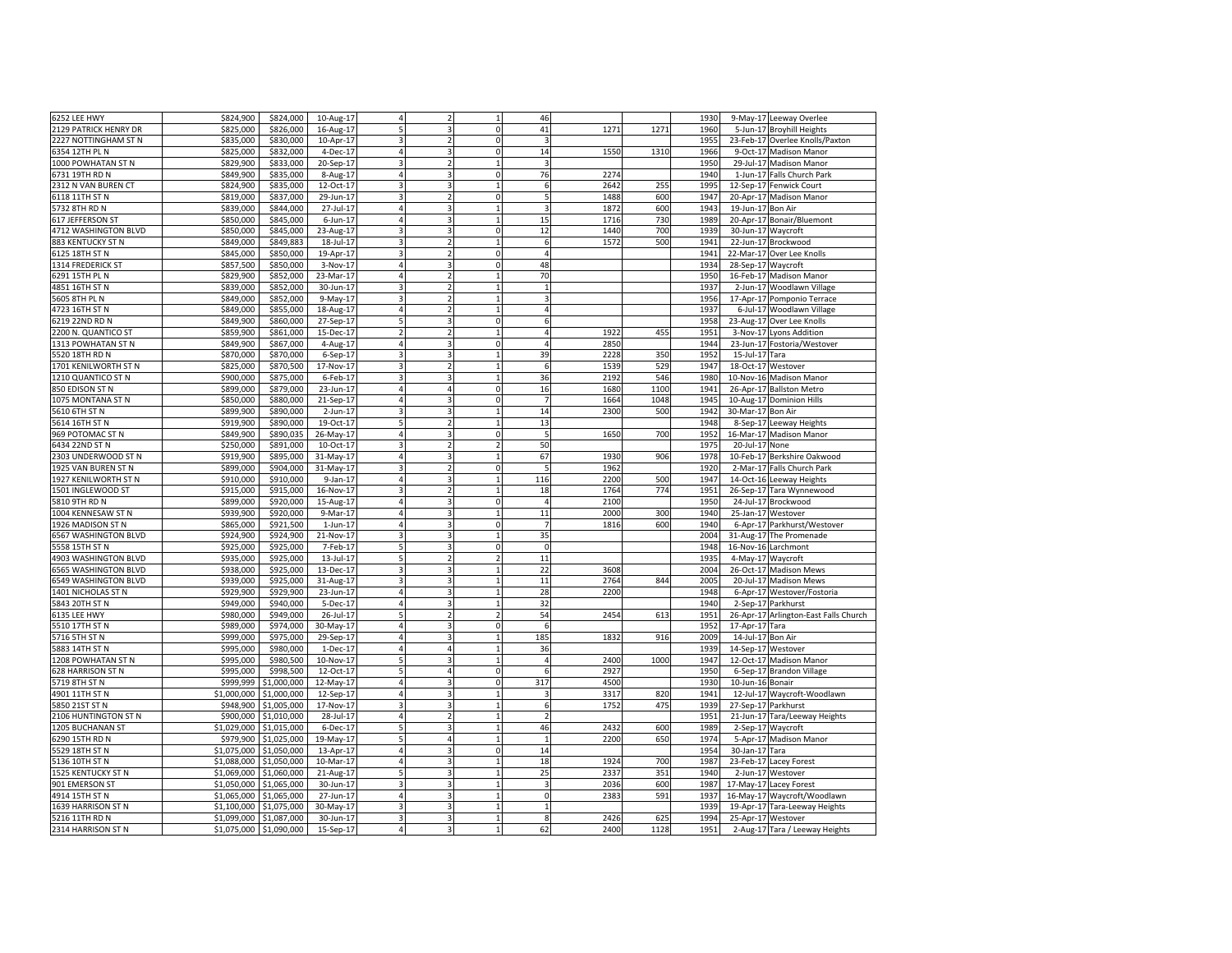| 6252 LEE HWY                | \$824,900               | \$824,000               | 10-Aug-17                | $\overline{4}$          | $\overline{2}$          | $\mathbf{1}$    | 46                   |      |      | 1930 | 9-May-17 Leeway Overlee               |
|-----------------------------|-------------------------|-------------------------|--------------------------|-------------------------|-------------------------|-----------------|----------------------|------|------|------|---------------------------------------|
| 2129 PATRICK HENRY DR       | \$825,000               | \$826,000               | 16-Aug-17                | 5                       | $\overline{3}$          | $\Omega$        | 41                   | 1271 | 1271 | 1960 | 5-Jun-17 Broyhill Heights             |
| 2227 NOTTINGHAM ST N        | \$835,000               | \$830,000               | 10-Apr-17                | 3                       | $\overline{2}$          | $\mathbf{0}$    | $\overline{3}$       |      |      | 1955 | 23-Feb-17 Overlee Knolls/Paxton       |
| 6354 12TH PL N              | \$825,000               | \$832,000               | 4-Dec-17                 | $\overline{4}$          | 3                       | οl              | 14                   | 1550 | 1310 | 1966 | 9-Oct-17 Madison Manor                |
| 1000 POWHATAN ST N          | \$829,900               | \$833,000               | 20-Sep-17                | 3                       | $\overline{2}$          | $\mathbf{1}$    | 3                    |      |      | 1950 | 29-Jul-17 Madison Manor               |
| 6731 19TH RD N              | \$849,900               | \$835,000               | 8-Aug-17                 | 4                       | $\overline{3}$          | $\overline{0}$  | 76                   | 2274 |      | 1940 | 1-Jun-17 Falls Church Park            |
| 2312 N VAN BUREN CT         | \$824,900               | \$835,000               | 12-Oct-17                | $\overline{3}$          | $\overline{3}$          | $1\overline{1}$ | 6                    | 2642 | 255  | 1995 | 12-Sep-17 Fenwick Court               |
| 6118 11TH ST N              | \$819,000               | \$837,000               | 29-Jun-17                | 3                       | $\overline{2}$          | $\overline{0}$  | 5                    | 1488 | 600  | 1947 | 20-Apr-17 Madison Manor               |
| 5732 8TH RD N               | \$839,000               | \$844,000               | 27-Jul-17                | $\overline{4}$          | $\overline{3}$          | $\overline{1}$  | 3                    | 1872 | 600  | 1943 | 19-Jun-17 Bon Air                     |
| 617 JEFFERSON ST            | \$850,000               | \$845,000               |                          | $\overline{4}$          | 3                       | $\,1\,$         | 15                   | 1716 | 730  | 1989 | 20-Apr-17 Bonair/Bluemont             |
| 4712 WASHINGTON BLVD        |                         | \$845,000               | $6$ -Jun-17<br>23-Aug-17 | $\overline{3}$          | $\overline{3}$          | $\Omega$        | 12                   | 1440 | 700  | 1939 | 30-Jun-17 Waycroft                    |
|                             | \$850,000               |                         |                          | 3                       | $\overline{2}$          |                 |                      | 1572 | 500  | 1941 |                                       |
| 883 KENTUCKY ST N           | \$849,000               | \$849,883               | 18-Jul-17                |                         |                         | $1\overline{ }$ | 6                    |      |      |      | 22-Jun-17 Brockwood                   |
| 6125 18TH ST N              | \$845,000               | \$850,000               | 19-Apr-17                | $\overline{3}$          | $\overline{2}$          | 0               | $\overline{4}$       |      |      | 1941 | 22-Mar-17 Over Lee Knolls             |
| 1314 FREDERICK ST           | \$857,500               | \$850,000               | 3-Nov-17                 | $\overline{4}$          | $\overline{3}$          | οl              | 48                   |      |      | 1934 | 28-Sep-17 Waycroft                    |
| 6291 15TH PL N              | \$829,900               | \$852,000               | 23-Mar-17                | $\overline{4}$          | $\overline{2}$          | $\mathbf{1}$    | 70                   |      |      | 1950 | 16-Feb-17 Madison Manor               |
| 4851 16TH ST N              | \$839,000               | \$852,000               | 30-Jun-17                | 3                       | $\overline{2}$          | $\,1\,$         | $\mathbf{1}$         |      |      | 1937 | 2-Jun-17 Woodlawn Village             |
| 5605 8TH PL N               | \$849,000               | \$852,000               | $9-May-17$               | $\overline{3}$          | $\overline{2}$          | $\mathbf{1}$    | $\mathbf{a}$         |      |      | 1956 | 17-Apr-17 Pomponio Terrace            |
| 4723 16TH ST N              | \$849,000               | \$855,000               | 18-Aug-17                | $\overline{4}$          | $\overline{2}$          | $\mathbf{1}$    | 4                    |      |      | 1937 | 6-Jul-17 Woodlawn Village             |
| 6219 22ND RD N              | \$849,900               | \$860,000               | 27-Sep-17                | $5\overline{)}$         | 3                       | 0               | 6                    |      |      | 1958 | 23-Aug-17 Over Lee Knolls             |
| 2200 N. QUANTICO ST         | \$859,900               | \$861,000               | 15-Dec-17                | $\overline{2}$          | $\overline{2}$          | $1\overline{ }$ | $\Delta$             | 1922 | 455  | 1951 | 3-Nov-17 Lyons Addition               |
| 1313 POWHATAN ST N          | \$849,900               | \$867,000               | 4-Aug-17                 | $\overline{a}$          | $\overline{3}$          | $\overline{0}$  | $\overline{4}$       | 2850 |      | 1944 | 23-Jun-17 Fostoria/Westover           |
| 5520 18TH RD N              | \$870,000               | \$870,000               | 6-Sep-17                 | $\overline{\mathbf{3}}$ | $\overline{3}$          | $\mathbf{1}$    | 39                   | 2228 | 350  | 1952 | 15-Jul-17 Tara                        |
| 1701 KENILWORTH ST N        | \$825,000               | \$870,500               | 17-Nov-17                | $\overline{3}$          | $\overline{2}$          | $\,1\,$         | 6                    | 1539 | 529  | 1947 | 18-Oct-17 Westover                    |
| 1210 QUANTICO ST N          | \$900,000               | \$875,000               | 6-Feb-17                 | 3                       | $\overline{3}$          | $1\vert$        | 36                   | 2192 | 546  | 1980 | 10-Nov-16 Madison Manor               |
| 850 EDISON ST N             | \$899,000               | \$879,000               | 23-Jun-17                | $\overline{4}$          | $\overline{4}$          | οl              | 16                   | 1680 | 1100 | 1941 | 26-Apr-17 Ballston Metro              |
| 1075 MONTANA ST N           | \$850,000               | \$880,000               | 21-Sep-17                | $\overline{4}$          | $\overline{\mathbf{3}}$ | $\mathbf{0}$    | $\overline{7}$       | 1664 | 1048 | 1945 | 10-Aug-17 Dominion Hills              |
| 5610 6TH ST N               | \$899,900               | \$890,000               | $2$ -Jun-17              | 3                       | $\overline{3}$          | $\mathbf{1}$    | 14                   | 2300 | 500  | 1942 | 30-Mar-17 Bon Air                     |
| 5614 16TH ST N              | \$919,900               | \$890,000               | 19-Oct-17                | 5 <sub>l</sub>          | $\overline{2}$          | $1\overline{ }$ | 13                   |      |      | 1948 | 8-Sep-17 Leeway Heights               |
| 969 POTOMAC ST N            | \$849,900               | \$890,035               | 26-May-17                | $\overline{4}$          | $\overline{\mathbf{3}}$ | $\overline{0}$  | 5                    | 1650 | 700  | 1952 | 16-Mar-17 Madison Manor               |
| 6434 22ND ST N              | \$250,000               | \$891,000               | 10-Oct-17                | $\overline{3}$          | $\overline{2}$          | $\overline{2}$  | 50                   |      |      | 1975 | 20-Jul-17 None                        |
| 2303 UNDERWOOD ST N         | \$919,900               | \$895,000               | 31-May-17                | $\overline{4}$          | $\overline{3}$          | $1\overline{ }$ | 67                   | 1930 | 906  | 1978 | 10-Feb-17 Berkshire Oakwood           |
| 1925 VAN BUREN ST N         | \$899,000               | \$904,000               | 31-May-17                | $\overline{\mathbf{3}}$ | $\overline{2}$          | $\overline{0}$  | 5                    | 1962 |      | 1920 | 2-Mar-17 Falls Church Park            |
| 1927 KENILWORTH ST N        | \$910,000               | \$910,000               | 9-Jan-17                 | $\overline{4}$          | $\overline{3}$          | $\overline{1}$  | 116                  | 2200 | 500  | 1947 | 14-Oct-16 Leeway Heights              |
| 1501 INGLEWOOD ST           | \$915,000               | \$915,000               | 16-Nov-17                | 3                       | $\overline{2}$          | $1\overline{ }$ | 18                   | 1764 | 774  | 1951 | 26-Sep-17 Tara Wynnewood              |
| 5810 9TH RD N               | \$899,000               | \$920,000               | 15-Aug-17                | $\overline{4}$          | 3                       | $\overline{0}$  | $\overline{4}$       | 2100 |      | 1950 | 24-Jul-17 Brockwood                   |
| 1004 KENNESAW ST N          | \$939,900               | \$920,000               | 9-Mar-17                 | $\overline{a}$          | 3                       | $\mathbf{1}$    | 11                   | 2000 | 300  | 1940 | 25-Jan-17 Westover                    |
| 1926 MADISON ST N           | \$865,000               | \$921,500               | $1$ -Jun- $17$           | $\overline{4}$          | $\overline{3}$          | ΩI              | $\overline{7}$       | 1816 | 600  | 1940 | 6-Apr-17 Parkhurst/Westover           |
| <b>6567 WASHINGTON BLVD</b> | \$924,900               | \$924,900               | 21-Nov-17                | $\overline{3}$          | $\overline{3}$          | $1\overline{ }$ | 35                   |      |      | 2004 | 31-Aug-17 The Promenade               |
| 5558 15TH ST N              | \$925,000               | \$925,000               | 7-Feb-17                 | 5                       | $\overline{3}$          | $\overline{0}$  | $\mathbf 0$          |      |      | 1948 | 16-Nov-16 Larchmont                   |
| 4903 WASHINGTON BLVD        | \$935,000               | \$925,000               | 13-Jul-17                | 5 <sup>1</sup>          | $\overline{2}$          | 2               | 11                   |      |      | 1935 | 4-May-17 Waycroft                     |
| <b>6565 WASHINGTON BLVD</b> | \$938,000               | \$925,000               | 13-Dec-17                | $\overline{3}$          | $\overline{3}$          | $\mathbf{1}$    | 22                   | 3608 |      | 2004 | 26-Oct-17 Madison Mews                |
| 6549 WASHINGTON BLVD        | \$939,000               | \$925,000               | 31-Aug-17                | 3                       | 3                       | $\overline{1}$  | 11                   | 2764 | 844  | 2005 | 20-Jul-17 Madison Mews                |
| 1401 NICHOLAS ST N          | \$929,900               | \$929,900               | 23-Jun-17                | $\vert$                 | 3                       | $1\overline{ }$ | 28                   | 2200 |      | 1948 | 6-Apr-17 Westover/Fostoria            |
| 5843 20TH ST N              | \$949,000               | \$940,000               | 5-Dec-17                 | $\overline{4}$          | 3                       | $\mathbf{1}$    | 32                   |      |      | 1940 | 2-Sep-17 Parkhurst                    |
| 6135 LEE HWY                | \$980,000               | \$949,000               | 26-Jul-17                | 5                       | $\overline{2}$          | $\overline{2}$  | 54                   | 2454 | 613  | 1951 | 26-Apr-17 Arlington-East Falls Church |
| 5510 17TH ST N              |                         | \$974,000               | 30-May-17                | $\vert$                 | 3                       | οl              | 6                    |      |      | 1952 |                                       |
| 5716 5TH ST N               | \$989,000               |                         |                          | $\overline{4}$          | 3                       | $\mathbf{1}$    | 185                  |      | 916  | 2009 | 17-Apr-17 Tara<br>14-Jul-17 Bon Air   |
|                             | \$999,000               | \$975,000               | 29-Sep-17                | $\overline{a}$          | $\overline{4}$          |                 |                      | 1832 |      |      |                                       |
| 5883 14TH ST N              | \$995,000               | \$980,000               | 1-Dec-17                 |                         |                         | $1\overline{ }$ | 36<br>$\overline{4}$ |      |      | 1939 | 14-Sep-17 Westover                    |
| 1208 POWHATAN ST N          | \$995,000               | \$980,500               | 10-Nov-17                | 5 <sup>1</sup>          | $\overline{3}$          | $1\overline{ }$ |                      | 2400 | 1000 | 1947 | 12-Oct-17 Madison Manor               |
| 628 HARRISON ST N           | \$995,000               | \$998,500               | 12-Oct-17                | 5 <sup>1</sup>          | $\sqrt{4}$              | $\mathbf{0}$    | 6                    | 2927 |      | 1950 | 6-Sep-17 Brandon Village              |
| 5719 8TH ST N               | \$999,999               | \$1,000,000             | 12-May-17                | $\overline{4}$          | $\overline{3}$          | ٥l              | 317                  | 4500 |      | 1930 | 10-Jun-16 Bonair                      |
| 4901 11TH ST N              | \$1,000,000 \$1,000,000 |                         | 12-Sep-17                | $\overline{4}$          | $\overline{\mathbf{3}}$ | $\overline{1}$  | $\overline{3}$       | 3317 | 820  | 1941 | 12-Jul-17 Waycroft-Woodlawn           |
| 5850 21ST ST N              |                         | \$948,900 \$1,005,000   | 17-Nov-17                | $\overline{3}$          | 3                       | $\,1\,$         | 6                    | 1752 | 475  | 1939 | 27-Sep-17 Parkhurst                   |
| 2106 HUNTINGTON ST N        |                         | \$900,000 \$1,010,000   | 28-Jul-17                | $\vert$                 | $\overline{2}$          | $1\overline{ }$ | $\overline{2}$       |      |      | 1951 | 21-Jun-17 Tara/Leeway Heights         |
| 1205 BUCHANAN ST            | \$1,029,000 \$1,015,000 |                         | 6-Dec-17                 | 5                       | $\overline{3}$          | $1\overline{ }$ | 46                   | 2432 | 600  | 1989 | 2-Sep-17 Waycroft                     |
| 6290 15TH RD N              |                         | \$979,900 \$1,025,000   | 19-May-17                | 5                       | $\sqrt{4}$              | $\mathbf{1}$    | $\overline{1}$       | 2200 | 650  | 1974 | 5-Apr-17 Madison Manor                |
| 5529 18TH ST N              | \$1,075,000 \$1,050,000 |                         | 13-Apr-17                | $\overline{4}$          | $\overline{3}$          | οl              | 14                   |      |      | 1954 | 30-Jan-17 Tara                        |
| 5136 10TH ST N              | \$1,088,000 \$1,050,000 |                         | 10-Mar-17                | $\overline{4}$          | $\overline{3}$          | $1\overline{ }$ | 18                   | 1924 | 700  | 1987 | 23-Feb-17 Lacey Forest                |
| 1525 KENTUCKY ST N          | \$1,069,000 \$1,060,000 |                         | 21-Aug-17                | $\overline{5}$          | $\overline{3}$          | $1\overline{ }$ | 25                   | 2337 | 351  | 1940 | 2-Jun-17 Westover                     |
| 901 EMERSON ST              | \$1,050,000 \$1,065,000 |                         | 30-Jun-17                | 3                       | 3                       | $\mathbf{1}$    | $\overline{3}$       | 2036 | 600  | 1987 | 17-May-17 Lacey Forest                |
| 4914 15TH ST N              | \$1,065,000 \$1,065,000 |                         | 27-Jun-17                | $\overline{4}$          | 3                       | $1\overline{ }$ | $\Omega$             | 2383 | 591  | 1937 | 16-May-17 Waycroft/Woodlawn           |
| 1639 HARRISON ST N          | \$1,100,000 \$1,075,000 |                         | 30-May-17                | $\overline{3}$          | 3                       | $\mathbf{1}$    | 1                    |      |      | 1939 | 19-Apr-17 Tara-Leeway Heights         |
| 5216 11TH RD N              | \$1,099,000 \$1,087,000 |                         | 30-Jun-17                | $\overline{\mathbf{3}}$ | 3                       | $1\vert$        | 8                    | 2426 | 625  | 1994 | 25-Apr-17 Westover                    |
| 2314 HARRISON ST N          |                         | \$1,075,000 \$1,090,000 | 15-Sep-17                | $\overline{4}$          | $\overline{3}$          | $1\vert$        | 62                   | 2400 | 1128 | 1951 | 2-Aug-17 Tara / Leeway Heights        |